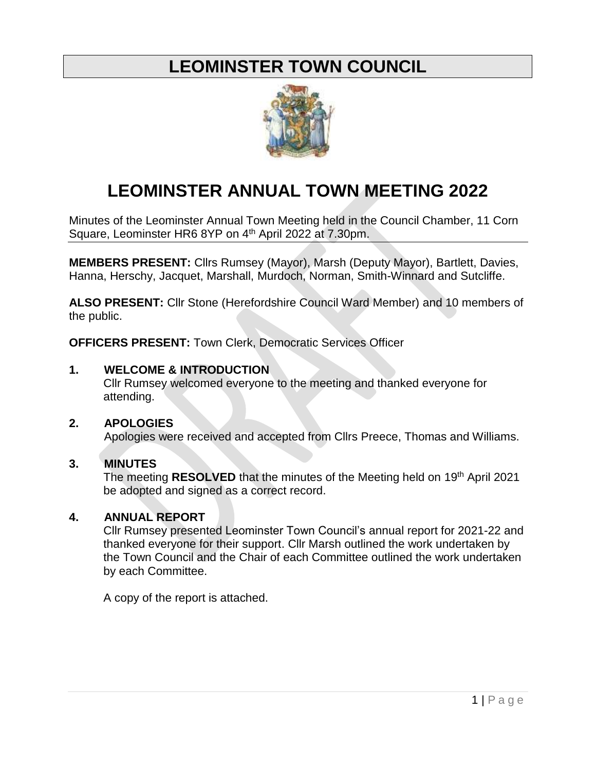# **LEOMINSTER TOWN COUNCIL**



# **LEOMINSTER ANNUAL TOWN MEETING 2022**

Minutes of the Leominster Annual Town Meeting held in the Council Chamber, 11 Corn Square, Leominster HR6 8YP on 4<sup>th</sup> April 2022 at 7.30pm.

**MEMBERS PRESENT:** Cllrs Rumsey (Mayor), Marsh (Deputy Mayor), Bartlett, Davies, Hanna, Herschy, Jacquet, Marshall, Murdoch, Norman, Smith-Winnard and Sutcliffe.

**ALSO PRESENT:** Cllr Stone (Herefordshire Council Ward Member) and 10 members of the public.

**OFFICERS PRESENT:** Town Clerk, Democratic Services Officer

### **1. WELCOME & INTRODUCTION**

Cllr Rumsey welcomed everyone to the meeting and thanked everyone for attending.

#### **2. APOLOGIES**

Apologies were received and accepted from Cllrs Preece, Thomas and Williams.

# **3. MINUTES**

The meeting **RESOLVED** that the minutes of the Meeting held on 19<sup>th</sup> April 2021 be adopted and signed as a correct record.

# **4. ANNUAL REPORT**

Cllr Rumsey presented Leominster Town Council's annual report for 2021-22 and thanked everyone for their support. Cllr Marsh outlined the work undertaken by the Town Council and the Chair of each Committee outlined the work undertaken by each Committee.

A copy of the report is attached.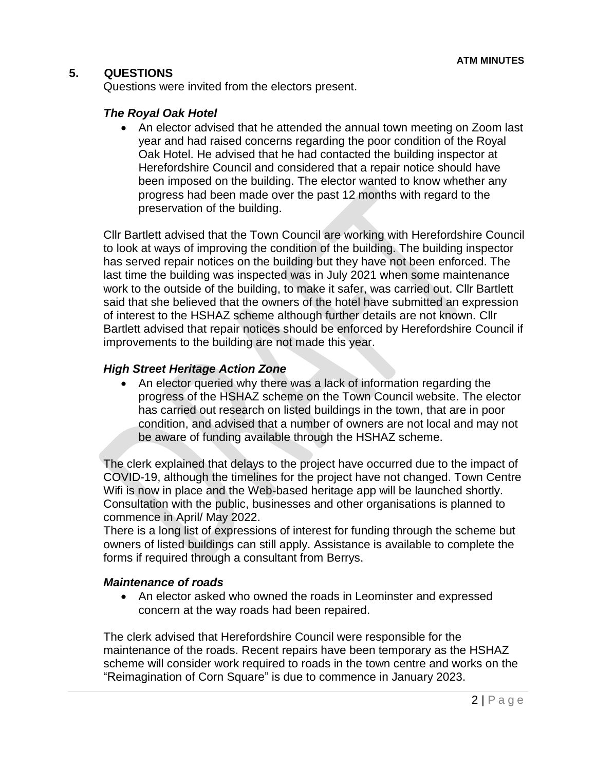#### **5. QUESTIONS**

Questions were invited from the electors present.

#### *The Royal Oak Hotel*

• An elector advised that he attended the annual town meeting on Zoom last year and had raised concerns regarding the poor condition of the Royal Oak Hotel. He advised that he had contacted the building inspector at Herefordshire Council and considered that a repair notice should have been imposed on the building. The elector wanted to know whether any progress had been made over the past 12 months with regard to the preservation of the building.

Cllr Bartlett advised that the Town Council are working with Herefordshire Council to look at ways of improving the condition of the building. The building inspector has served repair notices on the building but they have not been enforced. The last time the building was inspected was in July 2021 when some maintenance work to the outside of the building, to make it safer, was carried out. Cllr Bartlett said that she believed that the owners of the hotel have submitted an expression of interest to the HSHAZ scheme although further details are not known. Cllr Bartlett advised that repair notices should be enforced by Herefordshire Council if improvements to the building are not made this year.

#### *High Street Heritage Action Zone*

 An elector queried why there was a lack of information regarding the progress of the HSHAZ scheme on the Town Council website. The elector has carried out research on listed buildings in the town, that are in poor condition, and advised that a number of owners are not local and may not be aware of funding available through the HSHAZ scheme.

The clerk explained that delays to the project have occurred due to the impact of COVID-19, although the timelines for the project have not changed. Town Centre Wifi is now in place and the Web-based heritage app will be launched shortly. Consultation with the public, businesses and other organisations is planned to commence in April/ May 2022.

There is a long list of expressions of interest for funding through the scheme but owners of listed buildings can still apply. Assistance is available to complete the forms if required through a consultant from Berrys.

#### *Maintenance of roads*

 An elector asked who owned the roads in Leominster and expressed concern at the way roads had been repaired.

The clerk advised that Herefordshire Council were responsible for the maintenance of the roads. Recent repairs have been temporary as the HSHAZ scheme will consider work required to roads in the town centre and works on the "Reimagination of Corn Square" is due to commence in January 2023.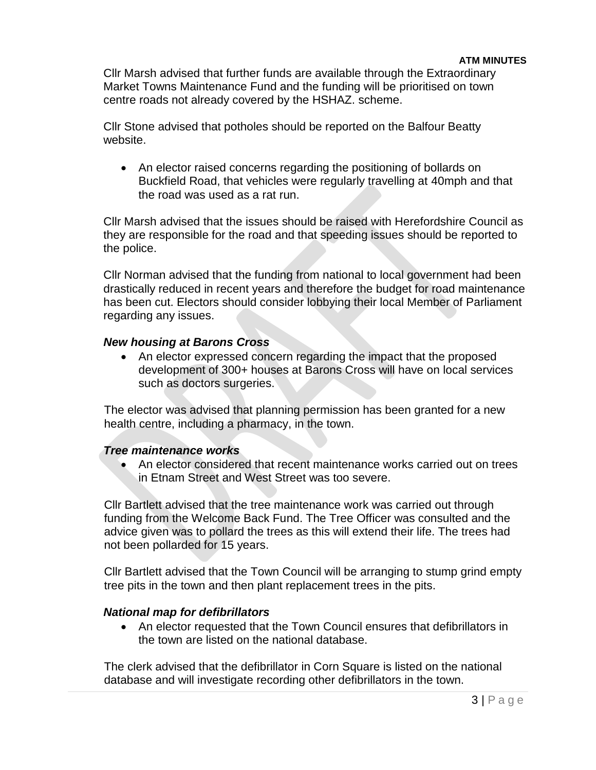Cllr Marsh advised that further funds are available through the Extraordinary Market Towns Maintenance Fund and the funding will be prioritised on town centre roads not already covered by the HSHAZ. scheme.

Cllr Stone advised that potholes should be reported on the Balfour Beatty website.

• An elector raised concerns regarding the positioning of bollards on Buckfield Road, that vehicles were regularly travelling at 40mph and that the road was used as a rat run.

Cllr Marsh advised that the issues should be raised with Herefordshire Council as they are responsible for the road and that speeding issues should be reported to the police.

Cllr Norman advised that the funding from national to local government had been drastically reduced in recent years and therefore the budget for road maintenance has been cut. Electors should consider lobbying their local Member of Parliament regarding any issues.

#### *New housing at Barons Cross*

 An elector expressed concern regarding the impact that the proposed development of 300+ houses at Barons Cross will have on local services such as doctors surgeries.

The elector was advised that planning permission has been granted for a new health centre, including a pharmacy, in the town.

#### *Tree maintenance works*

 An elector considered that recent maintenance works carried out on trees in Etnam Street and West Street was too severe.

Cllr Bartlett advised that the tree maintenance work was carried out through funding from the Welcome Back Fund. The Tree Officer was consulted and the advice given was to pollard the trees as this will extend their life. The trees had not been pollarded for 15 years.

Cllr Bartlett advised that the Town Council will be arranging to stump grind empty tree pits in the town and then plant replacement trees in the pits.

#### *National map for defibrillators*

 An elector requested that the Town Council ensures that defibrillators in the town are listed on the national database.

The clerk advised that the defibrillator in Corn Square is listed on the national database and will investigate recording other defibrillators in the town.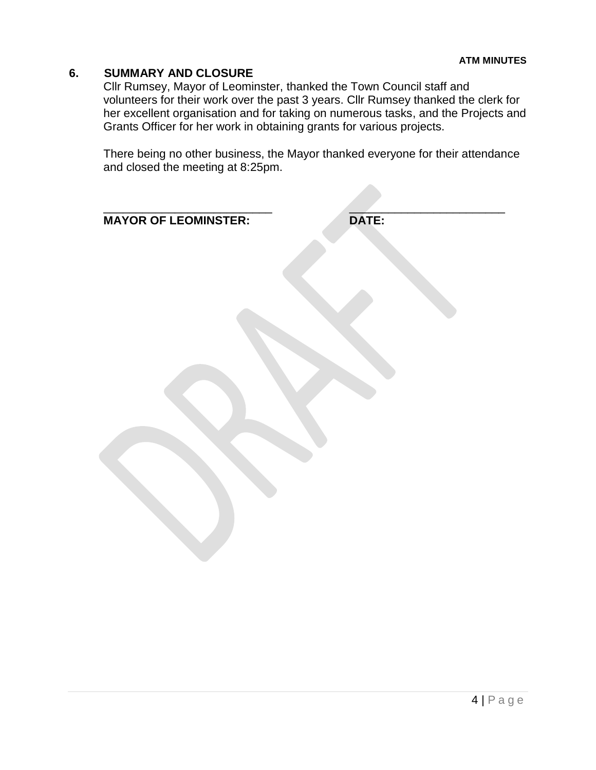#### **6. SUMMARY AND CLOSURE**

Cllr Rumsey, Mayor of Leominster, thanked the Town Council staff and volunteers for their work over the past 3 years. Cllr Rumsey thanked the clerk for her excellent organisation and for taking on numerous tasks, and the Projects and Grants Officer for her work in obtaining grants for various projects.

There being no other business, the Mayor thanked everyone for their attendance and closed the meeting at 8:25pm.

| <b>MAYOR OF LEOMINSTER:</b> | <b>DATE:</b> |
|-----------------------------|--------------|
|                             |              |
|                             |              |
|                             |              |
|                             |              |
|                             |              |
|                             |              |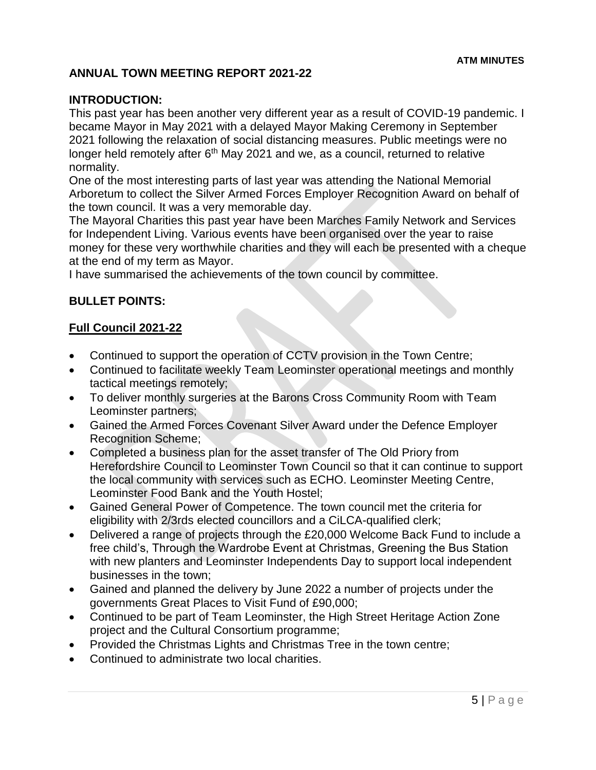## **ANNUAL TOWN MEETING REPORT 2021-22**

#### **INTRODUCTION:**

This past year has been another very different year as a result of COVID-19 pandemic. I became Mayor in May 2021 with a delayed Mayor Making Ceremony in September 2021 following the relaxation of social distancing measures. Public meetings were no longer held remotely after 6<sup>th</sup> May 2021 and we, as a council, returned to relative normality.

One of the most interesting parts of last year was attending the National Memorial Arboretum to collect the Silver Armed Forces Employer Recognition Award on behalf of the town council. It was a very memorable day.

The Mayoral Charities this past year have been Marches Family Network and Services for Independent Living. Various events have been organised over the year to raise money for these very worthwhile charities and they will each be presented with a cheque at the end of my term as Mayor.

I have summarised the achievements of the town council by committee.

#### **BULLET POINTS:**

#### **Full Council 2021-22**

- Continued to support the operation of CCTV provision in the Town Centre;
- Continued to facilitate weekly Team Leominster operational meetings and monthly tactical meetings remotely;
- To deliver monthly surgeries at the Barons Cross Community Room with Team Leominster partners;
- Gained the Armed Forces Covenant Silver Award under the Defence Employer Recognition Scheme;
- Completed a business plan for the asset transfer of The Old Priory from Herefordshire Council to Leominster Town Council so that it can continue to support the local community with services such as ECHO. Leominster Meeting Centre, Leominster Food Bank and the Youth Hostel;
- Gained General Power of Competence. The town council met the criteria for eligibility with 2/3rds elected councillors and a CiLCA-qualified clerk;
- Delivered a range of projects through the £20,000 Welcome Back Fund to include a free child's, Through the Wardrobe Event at Christmas, Greening the Bus Station with new planters and Leominster Independents Day to support local independent businesses in the town;
- Gained and planned the delivery by June 2022 a number of projects under the governments Great Places to Visit Fund of £90,000;
- Continued to be part of Team Leominster, the High Street Heritage Action Zone project and the Cultural Consortium programme;
- Provided the Christmas Lights and Christmas Tree in the town centre;
- Continued to administrate two local charities.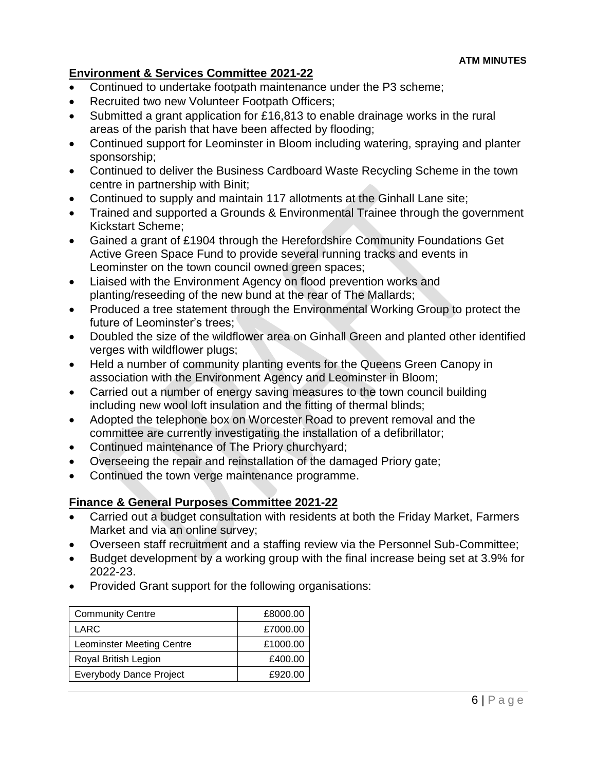# **Environment & Services Committee 2021-22**

- Continued to undertake footpath maintenance under the P3 scheme;
- Recruited two new Volunteer Footpath Officers;
- Submitted a grant application for £16,813 to enable drainage works in the rural areas of the parish that have been affected by flooding;
- Continued support for Leominster in Bloom including watering, spraying and planter sponsorship;
- Continued to deliver the Business Cardboard Waste Recycling Scheme in the town centre in partnership with Binit;
- Continued to supply and maintain 117 allotments at the Ginhall Lane site;
- Trained and supported a Grounds & Environmental Trainee through the government Kickstart Scheme;
- Gained a grant of £1904 through the Herefordshire Community Foundations Get Active Green Space Fund to provide several running tracks and events in Leominster on the town council owned green spaces;
- Liaised with the Environment Agency on flood prevention works and planting/reseeding of the new bund at the rear of The Mallards;
- Produced a tree statement through the Environmental Working Group to protect the future of Leominster's trees;
- Doubled the size of the wildflower area on Ginhall Green and planted other identified verges with wildflower plugs;
- Held a number of community planting events for the Queens Green Canopy in association with the Environment Agency and Leominster in Bloom;
- Carried out a number of energy saving measures to the town council building including new wool loft insulation and the fitting of thermal blinds;
- Adopted the telephone box on Worcester Road to prevent removal and the committee are currently investigating the installation of a defibrillator;
- Continued maintenance of The Priory churchyard;
- Overseeing the repair and reinstallation of the damaged Priory gate;
- Continued the town verge maintenance programme.

# **Finance & General Purposes Committee 2021-22**

- Carried out a budget consultation with residents at both the Friday Market, Farmers Market and via an online survey;
- Overseen staff recruitment and a staffing review via the Personnel Sub-Committee;
- Budget development by a working group with the final increase being set at 3.9% for 2022-23.
- Provided Grant support for the following organisations:

| <b>Community Centre</b>          | £8000.00 |
|----------------------------------|----------|
| LARC                             | £7000.00 |
| <b>Leominster Meeting Centre</b> | £1000.00 |
| Royal British Legion             | £400.00  |
| <b>Everybody Dance Project</b>   | £920.00  |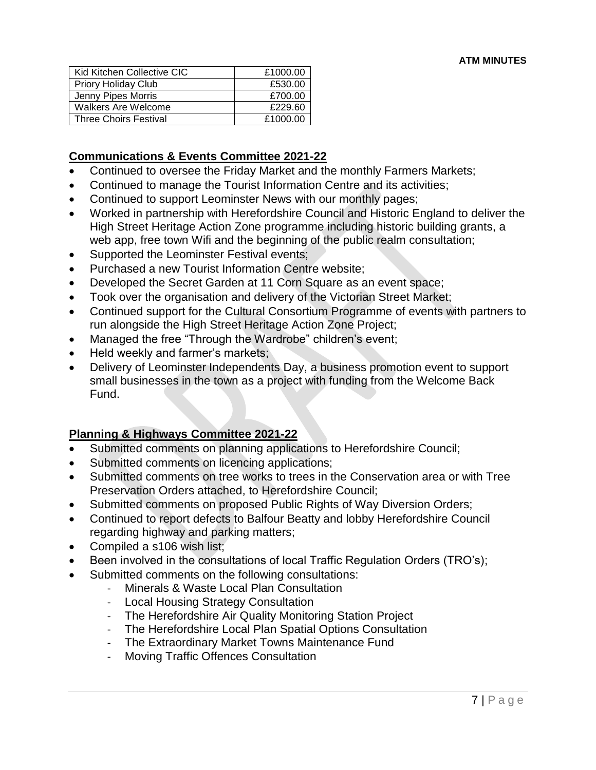| Kid Kitchen Collective CIC   | £1000.00 |
|------------------------------|----------|
| <b>Priory Holiday Club</b>   | £530.00  |
| Jenny Pipes Morris           | £700.00  |
| Walkers Are Welcome          | £229.60  |
| <b>Three Choirs Festival</b> | £1000.00 |

## **Communications & Events Committee 2021-22**

- Continued to oversee the Friday Market and the monthly Farmers Markets;
- Continued to manage the Tourist Information Centre and its activities;
- Continued to support Leominster News with our monthly pages;
- Worked in partnership with Herefordshire Council and Historic England to deliver the High Street Heritage Action Zone programme including historic building grants, a web app, free town Wifi and the beginning of the public realm consultation;
- Supported the Leominster Festival events;
- Purchased a new Tourist Information Centre website;
- Developed the Secret Garden at 11 Corn Square as an event space;
- Took over the organisation and delivery of the Victorian Street Market;
- Continued support for the Cultural Consortium Programme of events with partners to run alongside the High Street Heritage Action Zone Project;
- Managed the free "Through the Wardrobe" children's event;
- Held weekly and farmer's markets;
- Delivery of Leominster Independents Day, a business promotion event to support small businesses in the town as a project with funding from the Welcome Back Fund.

#### **Planning & Highways Committee 2021-22**

- Submitted comments on planning applications to Herefordshire Council;
- Submitted comments on licencing applications;
- Submitted comments on tree works to trees in the Conservation area or with Tree Preservation Orders attached, to Herefordshire Council;
- Submitted comments on proposed Public Rights of Way Diversion Orders;
- Continued to report defects to Balfour Beatty and lobby Herefordshire Council regarding highway and parking matters;
- Compiled a s106 wish list;
- Been involved in the consultations of local Traffic Regulation Orders (TRO's);
- Submitted comments on the following consultations:
	- Minerals & Waste Local Plan Consultation
		- Local Housing Strategy Consultation
		- The Herefordshire Air Quality Monitoring Station Project
		- The Herefordshire Local Plan Spatial Options Consultation
		- The Extraordinary Market Towns Maintenance Fund
		- Moving Traffic Offences Consultation